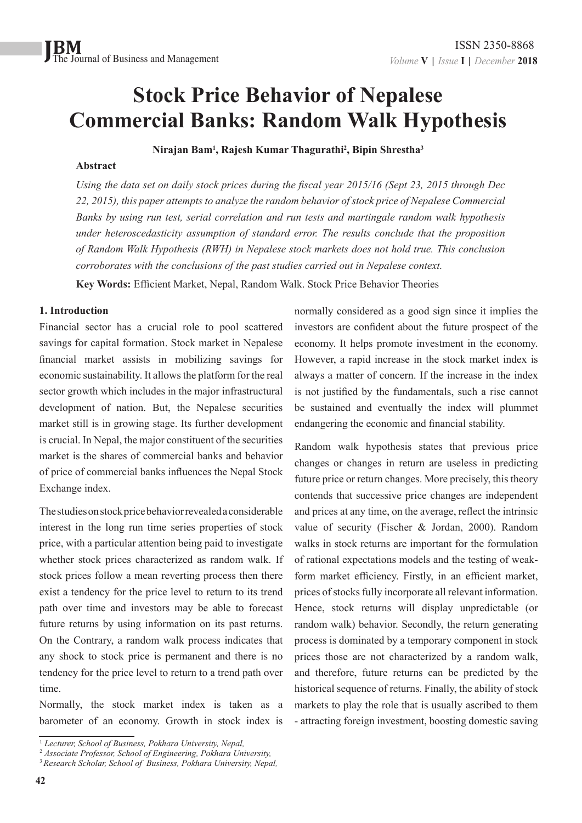## **Stock Price Behavior of Nepalese Commercial Banks: Random Walk Hypothesis**

**Nirajan Bam1 , Rajesh Kumar Thagurathi2 , Bipin Shrestha3**

#### **Abstract**

*Using the data set on daily stock prices during the fiscal year 2015/16 (Sept 23, 2015 through Dec 22, 2015), this paper attempts to analyze the random behavior of stock price of Nepalese Commercial Banks by using run test, serial correlation and run tests and martingale random walk hypothesis under heteroscedasticity assumption of standard error. The results conclude that the proposition of Random Walk Hypothesis (RWH) in Nepalese stock markets does not hold true. This conclusion corroborates with the conclusions of the past studies carried out in Nepalese context.*

**Key Words:** Efficient Market, Nepal, Random Walk. Stock Price Behavior Theories

#### **1. Introduction**

Financial sector has a crucial role to pool scattered savings for capital formation. Stock market in Nepalese financial market assists in mobilizing savings for economic sustainability. It allows the platform for the real sector growth which includes in the major infrastructural development of nation. But, the Nepalese securities market still is in growing stage. Its further development is crucial. In Nepal, the major constituent of the securities market is the shares of commercial banks and behavior of price of commercial banks influences the Nepal Stock Exchange index.

The studies on stock price behavior revealed a considerable interest in the long run time series properties of stock price, with a particular attention being paid to investigate whether stock prices characterized as random walk. If stock prices follow a mean reverting process then there exist a tendency for the price level to return to its trend path over time and investors may be able to forecast future returns by using information on its past returns. On the Contrary, a random walk process indicates that any shock to stock price is permanent and there is no tendency for the price level to return to a trend path over time.

Normally, the stock market index is taken as a barometer of an economy. Growth in stock index is normally considered as a good sign since it implies the investors are confident about the future prospect of the economy. It helps promote investment in the economy. However, a rapid increase in the stock market index is always a matter of concern. If the increase in the index is not justified by the fundamentals, such a rise cannot be sustained and eventually the index will plummet endangering the economic and financial stability.

Random walk hypothesis states that previous price changes or changes in return are useless in predicting future price or return changes. More precisely, this theory contends that successive price changes are independent and prices at any time, on the average, reflect the intrinsic value of security (Fischer & Jordan, 2000). Random walks in stock returns are important for the formulation of rational expectations models and the testing of weakform market efficiency. Firstly, in an efficient market, prices of stocks fully incorporate all relevant information. Hence, stock returns will display unpredictable (or random walk) behavior. Secondly, the return generating process is dominated by a temporary component in stock prices those are not characterized by a random walk, and therefore, future returns can be predicted by the historical sequence of returns. Finally, the ability of stock markets to play the role that is usually ascribed to them - attracting foreign investment, boosting domestic saving

<sup>1</sup>  *Lecturer, School of Business, Pokhara University, Nepal,* 

<sup>2</sup>  *Associate Professor, School of Engineering, Pokhara University,* <sup>3</sup>*Research Scholar, School of Business, Pokhara University, Nepal,*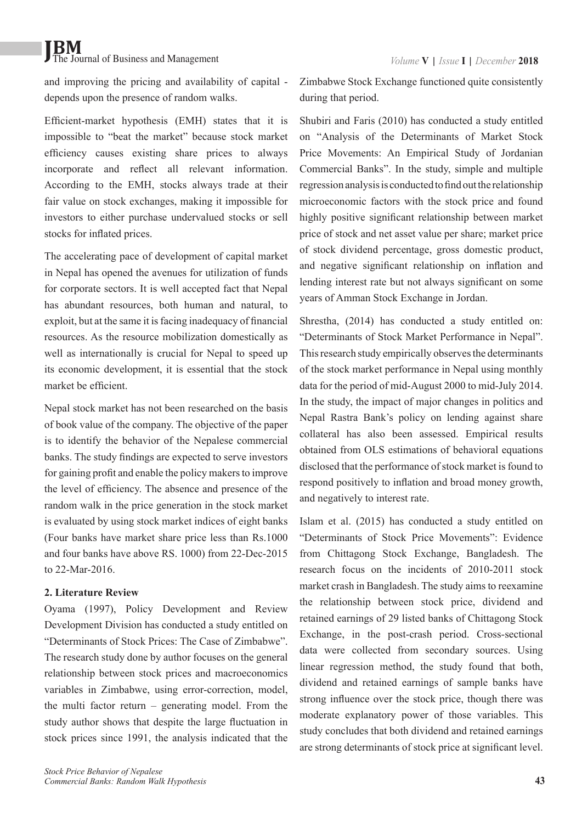and improving the pricing and availability of capital depends upon the presence of random walks.

Efficient-market hypothesis (EMH) states that it is impossible to "beat the market" because stock market efficiency causes existing share prices to always incorporate and reflect all relevant information. According to the EMH, stocks always trade at their fair value on stock exchanges, making it impossible for investors to either purchase undervalued stocks or sell stocks for inflated prices.

The accelerating pace of development of capital market in Nepal has opened the avenues for utilization of funds for corporate sectors. It is well accepted fact that Nepal has abundant resources, both human and natural, to exploit, but at the same it is facing inadequacy of financial resources. As the resource mobilization domestically as well as internationally is crucial for Nepal to speed up its economic development, it is essential that the stock market be efficient.

Nepal stock market has not been researched on the basis of book value of the company. The objective of the paper is to identify the behavior of the Nepalese commercial banks. The study findings are expected to serve investors for gaining profit and enable the policy makers to improve the level of efficiency. The absence and presence of the random walk in the price generation in the stock market is evaluated by using stock market indices of eight banks (Four banks have market share price less than Rs.1000 and four banks have above RS. 1000) from 22-Dec-2015 to 22-Mar-2016.

#### **2. Literature Review**

Oyama (1997), Policy Development and Review Development Division has conducted a study entitled on "Determinants of Stock Prices: The Case of Zimbabwe". The research study done by author focuses on the general relationship between stock prices and macroeconomics variables in Zimbabwe, using error-correction, model, the multi factor return – generating model. From the study author shows that despite the large fluctuation in stock prices since 1991, the analysis indicated that the Zimbabwe Stock Exchange functioned quite consistently during that period.

Shubiri and Faris (2010) has conducted a study entitled on "Analysis of the Determinants of Market Stock Price Movements: An Empirical Study of Jordanian Commercial Banks". In the study, simple and multiple regression analysis is conducted to find out the relationship microeconomic factors with the stock price and found highly positive significant relationship between market price of stock and net asset value per share; market price of stock dividend percentage, gross domestic product, and negative significant relationship on inflation and lending interest rate but not always significant on some years of Amman Stock Exchange in Jordan.

Shrestha, (2014) has conducted a study entitled on: "Determinants of Stock Market Performance in Nepal". This research study empirically observes the determinants of the stock market performance in Nepal using monthly data for the period of mid-August 2000 to mid-July 2014. In the study, the impact of major changes in politics and Nepal Rastra Bank's policy on lending against share collateral has also been assessed. Empirical results obtained from OLS estimations of behavioral equations disclosed that the performance of stock market is found to respond positively to inflation and broad money growth, and negatively to interest rate.

Islam et al. (2015) has conducted a study entitled on "Determinants of Stock Price Movements": Evidence from Chittagong Stock Exchange, Bangladesh. The research focus on the incidents of 2010-2011 stock market crash in Bangladesh. The study aims to reexamine the relationship between stock price, dividend and retained earnings of 29 listed banks of Chittagong Stock Exchange, in the post-crash period. Cross-sectional data were collected from secondary sources. Using linear regression method, the study found that both, dividend and retained earnings of sample banks have strong influence over the stock price, though there was moderate explanatory power of those variables. This study concludes that both dividend and retained earnings are strong determinants of stock price at significant level.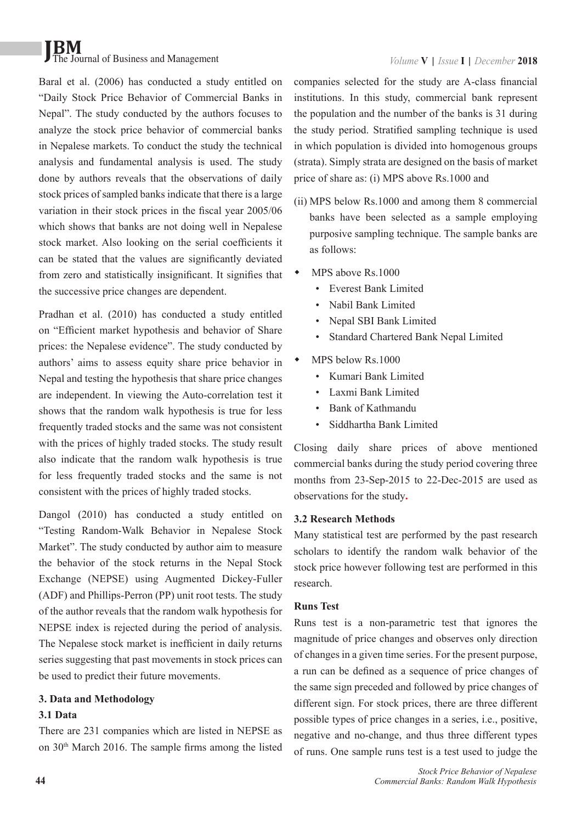Baral et al. (2006) has conducted a study entitled on "Daily Stock Price Behavior of Commercial Banks in Nepal". The study conducted by the authors focuses to analyze the stock price behavior of commercial banks in Nepalese markets. To conduct the study the technical analysis and fundamental analysis is used. The study done by authors reveals that the observations of daily stock prices of sampled banks indicate that there is a large variation in their stock prices in the fiscal year 2005/06 which shows that banks are not doing well in Nepalese stock market. Also looking on the serial coefficients it can be stated that the values are significantly deviated from zero and statistically insignificant. It signifies that the successive price changes are dependent.

Pradhan et al. (2010) has conducted a study entitled on "Efficient market hypothesis and behavior of Share prices: the Nepalese evidence". The study conducted by authors' aims to assess equity share price behavior in Nepal and testing the hypothesis that share price changes are independent. In viewing the Auto-correlation test it shows that the random walk hypothesis is true for less frequently traded stocks and the same was not consistent with the prices of highly traded stocks. The study result also indicate that the random walk hypothesis is true for less frequently traded stocks and the same is not consistent with the prices of highly traded stocks.

Dangol (2010) has conducted a study entitled on "Testing Random-Walk Behavior in Nepalese Stock Market". The study conducted by author aim to measure the behavior of the stock returns in the Nepal Stock Exchange (NEPSE) using Augmented Dickey-Fuller (ADF) and Phillips-Perron (PP) unit root tests. The study of the author reveals that the random walk hypothesis for NEPSE index is rejected during the period of analysis. The Nepalese stock market is inefficient in daily returns series suggesting that past movements in stock prices can be used to predict their future movements.

#### **3. Data and Methodology**

## **3.1 Data**

There are 231 companies which are listed in NEPSE as on 30th March 2016. The sample firms among the listed companies selected for the study are A-class financial institutions. In this study, commercial bank represent the population and the number of the banks is 31 during the study period. Stratified sampling technique is used in which population is divided into homogenous groups (strata). Simply strata are designed on the basis of market price of share as: (i) MPS above Rs.1000 and

- (ii) MPS below Rs.1000 and among them 8 commercial banks have been selected as a sample employing purposive sampling technique. The sample banks are as follows:
- $\bullet$  MPS above Rs. 1000
	- Everest Bank Limited
	- Nabil Bank Limited
	- Nepal SBI Bank Limited
	- Standard Chartered Bank Nepal Limited
	- MPS below Rs.1000
		- Kumari Bank Limited
		- Laxmi Bank Limited
		- Bank of Kathmandu
		- Siddhartha Bank Limited

Closing daily share prices of above mentioned commercial banks during the study period covering three months from 23-Sep-2015 to 22-Dec-2015 are used as observations for the study**.**

## **3.2 Research Methods**

Many statistical test are performed by the past research scholars to identify the random walk behavior of the stock price however following test are performed in this research.

#### **Runs Test**

Runs test is a non-parametric test that ignores the magnitude of price changes and observes only direction of changes in a given time series. For the present purpose, a run can be defined as a sequence of price changes of the same sign preceded and followed by price changes of different sign. For stock prices, there are three different possible types of price changes in a series, i.e., positive, negative and no-change, and thus three different types of runs. One sample runs test is a test used to judge the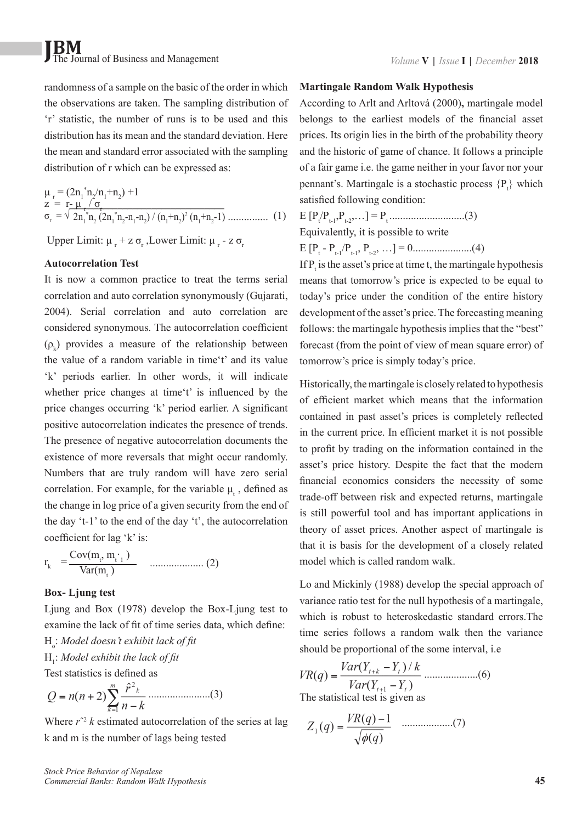randomness of a sample on the basic of the order in which the observations are taken. The sampling distribution of 'r' statistic, the number of runs is to be used and this distribution has its mean and the standard deviation. Here the mean and standard error associated with the sampling distribution of r which can be expressed as:

$$
\mu_{r} = (2n_{1}^{*}n_{2}/n_{1}+n_{2}) + 1
$$
  
\n
$$
z = r_{-} \mu_{r} / \sigma_{r}
$$
  
\n
$$
\sigma_{r} = \sqrt{2n_{1}^{*}n_{2} (2n_{1}^{*}n_{2}-n_{1}-n_{2})/(n_{1}+n_{2})^{2} (n_{1}+n_{2}-1) \dots}
$$
\n(1)

Upper Limit:  $\mu_r$  + z  $\sigma_r$ , Lower Limit:  $\mu_r$  - z  $\sigma_r$ 

#### **Autocorrelation Test**

It is now a common practice to treat the terms serial correlation and auto correlation synonymously (Gujarati, 2004). Serial correlation and auto correlation are considered synonymous. The autocorrelation coefficient  $(\rho_k)$  provides a measure of the relationship between the value of a random variable in time't' and its value 'k' periods earlier. In other words, it will indicate whether price changes at time't' is influenced by the price changes occurring 'k' period earlier. A significant positive autocorrelation indicates the presence of trends. The presence of negative autocorrelation documents the existence of more reversals that might occur randomly. Numbers that are truly random will have zero serial correlation. For example, for the variable  $\mu_t$ , defined as the change in log price of a given security from the end of the day 't-1' to the end of the day 't', the autocorrelation coefficient for lag 'k' is:

$$
r_{k} = \frac{Cov(m_{t}, m_{t})}{Var(m_{t})}
$$
 ....... (2)

#### **Box- Ljung test**

Ljung and Box (1978) develop the Box-Ljung test to examine the lack of fit of time series data, which define: Ho : *Model doesn't exhibit lack of fit*

## H1 : *Model exhibit the lack of fit*

Test statistics is defined as

$$
Q = n(n+2) \sum_{k=1}^{m} \frac{\hat{r}^2}{n-k} \dots \dots \dots \dots \dots \dots \dots (3)
$$

Where  $r^2$  *k* estimated autocorrelation of the series at lag k and m is the number of lags being tested

#### **Martingale Random Walk Hypothesis**

According to Arlt and Arltová (2000)**,** martingale model belongs to the earliest models of the financial asset prices. Its origin lies in the birth of the probability theory and the historic of game of chance. It follows a principle of a fair game i.e. the game neither in your favor nor your pennant's. Martingale is a stochastic process  $\{P_t\}$  which satisfied following condition:

E [Pt /Pt-1,Pt-2,…] = Pt ............................(3) Equivalently, it is possible to write

E [Pt - Pt-1/Pt-1, Pt-2, …] = 0......................(4)

If  $P_t$  is the asset's price at time t, the martingale hypothesis means that tomorrow's price is expected to be equal to today's price under the condition of the entire history development of the asset's price. The forecasting meaning follows: the martingale hypothesis implies that the "best" forecast (from the point of view of mean square error) of tomorrow's price is simply today's price.

Historically, the martingale is closely related to hypothesis of efficient market which means that the information contained in past asset's prices is completely reflected in the current price. In efficient market it is not possible to profit by trading on the information contained in the asset's price history. Despite the fact that the modern financial economics considers the necessity of some trade-off between risk and expected returns, martingale is still powerful tool and has important applications in theory of asset prices. Another aspect of martingale is that it is basis for the development of a closely related model which is called random walk.

Lo and Mickinly (1988) develop the special approach of variance ratio test for the null hypothesis of a martingale, which is robust to heteroskedastic standard errors. The time series follows a random walk then the variance should be proportional of the some interval, i.e

$$
VR(q) = \frac{Var(Y_{t+k} - Y_t)/k}{Var(Y_{t+1} - Y_t)}
$$
.............(6)  
The statistical test is given as

$$
Z_1(q) = \frac{VR(q) - 1}{\sqrt{\phi(q)}} \quad \dots \dots \dots \dots \dots (7)
$$

*Stock Price Behavior of Nepalese Commercial Banks: Random Walk Hypothesis*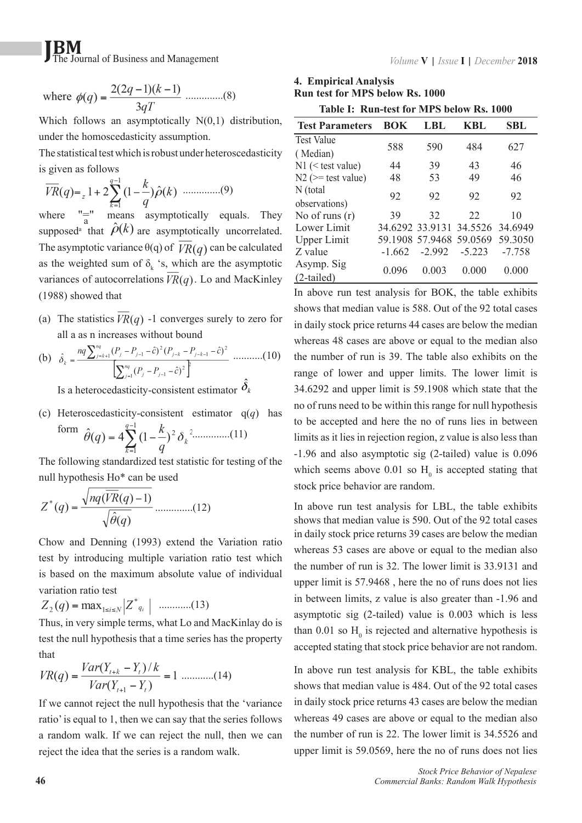where 
$$
\phi(q) = \frac{2(2q-1)(k-1)}{3qT}
$$
 .........(8)

Which follows an asymptotically N(0,1) distribution, under the homoscedasticity assumption.

The statistical test which is robust under heteroscedasticity is given as follows

$$
\overline{VR}(q) = {}_{z} 1 + 2\sum_{k=1}^{q-1} (1 - \frac{k}{q})\hat{\rho}(k) \quad .........(9)
$$

where means asymptotically equals. They supposed<sup>a</sup> that  $\rho(k)$  are asymptotically uncorrelated. The asymptotic variance  $\theta(q)$  of  $\overline{VR}(q)$  can be calculated as the weighted sum of  $\delta_k$  's, which are the asymptotic variances of autocorrelations  $VR(q)$ . Lo and MacKinley (1988) showed that

(a) The statistics  $\overline{VR}(q)$  -1 converges surely to zero for all a as n increases without bound

(b) 
$$
\hat{\delta}_k = \frac{nq \sum_{j=k+1}^{nq} (P_j - P_{j-1} - \hat{c})^2 (P_{j-k} - P_{j-k-1} - \hat{c})^2}{\left[\sum_{j=1}^{nq} (P_j - P_{j-1} - \hat{c})^2\right]^{\frac{1}{p}}} \dots \dots \dots (10)
$$

Is a heterocedasticity-consistent estimator  $\hat{\delta}_k$ 

(c) Heteroscedasticity-consistent estimator q(*q*) has

form 
$$
\hat{\theta}(q) = 4 \sum_{k=1}^{q-1} (1 - \frac{k}{q})^2 \delta_k^{2 \dots (11)}
$$

The following standardized test statistic for testing of the null hypothesis Ho\* can be used

$$
Z^*(q) = \frac{\sqrt{nq(VR(q) - 1)}}{\sqrt{\hat{\theta}(q)}} \dots \dots \dots \dots (12)
$$

Chow and Denning (1993) extend the Variation ratio test by introducing multiple variation ratio test which is based on the maximum absolute value of individual variation ratio test

$$
Z_2(q) = \max_{1 \le i \le N} |Z^*_{q_i}| \quad \dots \dots \dots (13)
$$

Thus, in very simple terms, what Lo and MacKinlay do is test the null hypothesis that a time series has the property that

$$
VR(q) = \frac{Var(Y_{t+k} - Y_t)/k}{Var(Y_{t+1} - Y_t)} = 1 \dots (14)
$$

If we cannot reject the null hypothesis that the 'variance ratio' is equal to 1, then we can say that the series follows a random walk. If we can reject the null, then we can reject the idea that the series is a random walk.

**4. Empirical Analysis Run test for MPS below Rs. 1000**

| Table I: Run-test for MPS below Rs. 1000 |  |  |  |  |  |
|------------------------------------------|--|--|--|--|--|
|                                          |  |  |  |  |  |

| <b>Test Parameters</b>   | <b>BOK</b> | LBL                     | KBL      | <b>SBL</b> |
|--------------------------|------------|-------------------------|----------|------------|
| <b>Test Value</b>        | 588        | 590                     | 484      | 627        |
| (Median)                 |            |                         |          |            |
| $N1$ (< test value)      | 44         | 39                      | 43       | 46         |
| $N2 \approx$ test value) | 48         | 53                      | 49       | 46         |
| N (total                 | 92         | 92                      | 92       | 92         |
| observations)            |            |                         |          |            |
| No of runs $(r)$         | 39         | 32                      | 22       | 10         |
| Lower Limit              |            | 34.6292 33.9131 34.5526 |          | 34.6949    |
| <b>Upper Limit</b>       |            | 59.1908 57.9468 59.0569 |          | 59.3050    |
| Z value                  | $-1.662$   | $-2.992$                | $-5.223$ | $-7.758$   |
| Asymp. Sig               | 0.096      | 0.003                   | 0.000    | 0.000      |
| $(2-tailed)$             |            |                         |          |            |

In above run test analysis for BOK, the table exhibits shows that median value is 588. Out of the 92 total cases in daily stock price returns 44 cases are below the median whereas 48 cases are above or equal to the median also the number of run is 39. The table also exhibits on the range of lower and upper limits. The lower limit is 34.6292 and upper limit is 59.1908 which state that the no of runs need to be within this range for null hypothesis to be accepted and here the no of runs lies in between limits as it lies in rejection region, z value is also less than -1.96 and also asymptotic sig (2-tailed) value is 0.096 which seems above 0.01 so  $H_0$  is accepted stating that stock price behavior are random.

In above run test analysis for LBL, the table exhibits shows that median value is 590. Out of the 92 total cases in daily stock price returns 39 cases are below the median whereas 53 cases are above or equal to the median also the number of run is 32. The lower limit is 33.9131 and upper limit is 57.9468 , here the no of runs does not lies in between limits, z value is also greater than -1.96 and asymptotic sig (2-tailed) value is 0.003 which is less than 0.01 so  $H_0$  is rejected and alternative hypothesis is accepted stating that stock price behavior are not random.

In above run test analysis for KBL, the table exhibits shows that median value is 484. Out of the 92 total cases in daily stock price returns 43 cases are below the median whereas 49 cases are above or equal to the median also the number of run is 22. The lower limit is 34.5526 and upper limit is 59.0569, here the no of runs does not lies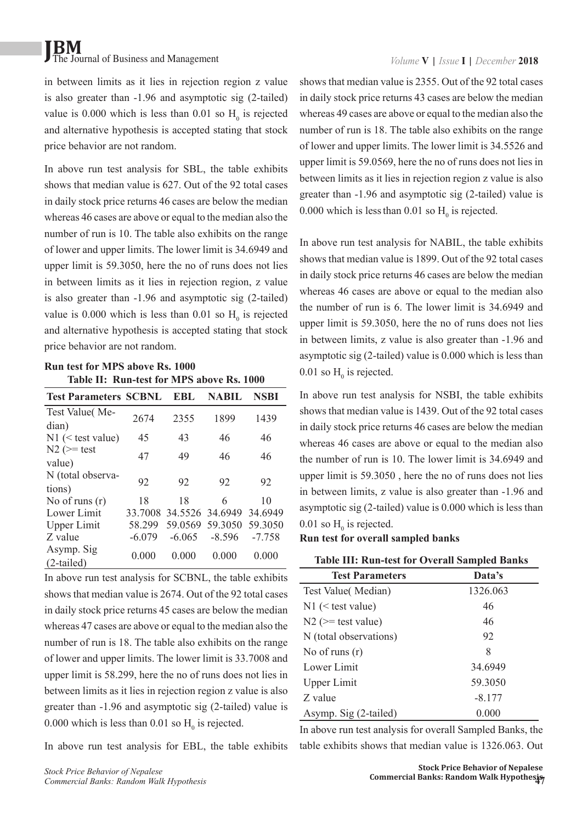in between limits as it lies in rejection region z value is also greater than -1.96 and asymptotic sig (2-tailed) value is 0.000 which is less than 0.01 so  $H_0$  is rejected and alternative hypothesis is accepted stating that stock price behavior are not random.

In above run test analysis for SBL, the table exhibits shows that median value is 627. Out of the 92 total cases in daily stock price returns 46 cases are below the median whereas 46 cases are above or equal to the median also the number of run is 10. The table also exhibits on the range of lower and upper limits. The lower limit is 34.6949 and upper limit is 59.3050, here the no of runs does not lies in between limits as it lies in rejection region, z value is also greater than -1.96 and asymptotic sig (2-tailed) value is 0.000 which is less than 0.01 so  $H_0$  is rejected and alternative hypothesis is accepted stating that stock price behavior are not random.

#### **Run test for MPS above Rs. 1000 Table II: Run-test for MPS above Rs. 1000**

| <b>Test Parameters SCBNL</b> |          | EBL                     | <b>NABIL</b> | <b>NSBI</b> |
|------------------------------|----------|-------------------------|--------------|-------------|
| Test Value(Me-               | 2674     | 2355                    | 1899         | 1439        |
| dian)                        |          |                         |              |             |
| $N1$ (< test value)          | 45       | 43                      | 46           | 46          |
| $N2 \approx test$            | 47       | 49                      | 46           | 46          |
| value)                       |          |                         |              |             |
| N (total observa-            | 92       | 92                      | 92           | 92          |
| tions)                       |          |                         |              |             |
| No of runs $(r)$             | 18       | 18                      | 6            | 10          |
| Lower Limit                  |          | 33.7008 34.5526 34.6949 |              | 34.6949     |
| <b>Upper Limit</b>           | 58.299   | 59.0569                 | 59.3050      | 59.3050     |
| Z value                      | $-6.079$ | $-6.065$                | $-8.596$     | $-7.758$    |
| Asymp. Sig                   | 0.000    | 0.000                   | 0.000        | 0.000       |
| $(2-tailed)$                 |          |                         |              |             |

In above run test analysis for SCBNL, the table exhibits shows that median value is 2674. Out of the 92 total cases in daily stock price returns 45 cases are below the median whereas 47 cases are above or equal to the median also the number of run is 18. The table also exhibits on the range of lower and upper limits. The lower limit is 33.7008 and upper limit is 58.299, here the no of runs does not lies in between limits as it lies in rejection region z value is also greater than -1.96 and asymptotic sig (2-tailed) value is 0.000 which is less than 0.01 so  $H_0$  is rejected.

In above run test analysis for EBL, the table exhibits

shows that median value is 2355. Out of the 92 total cases in daily stock price returns 43 cases are below the median whereas 49 cases are above or equal to the median also the number of run is 18. The table also exhibits on the range of lower and upper limits. The lower limit is 34.5526 and upper limit is 59.0569, here the no of runs does not lies in between limits as it lies in rejection region z value is also greater than -1.96 and asymptotic sig (2-tailed) value is 0.000 which is less than 0.01 so  $H_0$  is rejected.

In above run test analysis for NABIL, the table exhibits shows that median value is 1899. Out of the 92 total cases in daily stock price returns 46 cases are below the median whereas 46 cases are above or equal to the median also the number of run is 6. The lower limit is 34.6949 and upper limit is 59.3050, here the no of runs does not lies in between limits, z value is also greater than -1.96 and asymptotic sig (2-tailed) value is 0.000 which is less than 0.01 so  $H_0$  is rejected.

In above run test analysis for NSBI, the table exhibits shows that median value is 1439. Out of the 92 total cases in daily stock price returns 46 cases are below the median whereas 46 cases are above or equal to the median also the number of run is 10. The lower limit is 34.6949 and upper limit is 59.3050 , here the no of runs does not lies in between limits, z value is also greater than -1.96 and asymptotic sig (2-tailed) value is 0.000 which is less than 0.01 so  $H_0$  is rejected.

#### **Run test for overall sampled banks**

**Table III: Run-test for Overall Sampled Banks**

| <b>Test Parameters</b>  | Data's   |
|-------------------------|----------|
| Test Value (Median)     | 1326.063 |
| $N1$ (< test value)     | 46       |
| $N2$ ( $>=$ test value) | 46       |
| N (total observations)  | 92       |
| No of runs $(r)$        | 8        |
| Lower Limit             | 34.6949  |
| <b>Upper Limit</b>      | 59.3050  |
| Z value                 | $-8.177$ |
| Asymp. Sig (2-tailed)   | 0.000    |

In above run test analysis for overall Sampled Banks, the table exhibits shows that median value is 1326.063. Out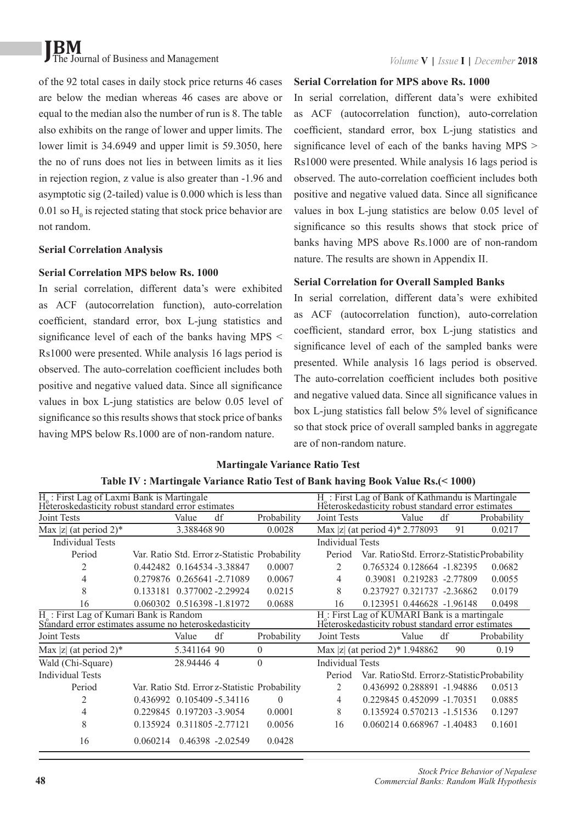of the 92 total cases in daily stock price returns 46 cases are below the median whereas 46 cases are above or equal to the median also the number of run is 8. The table also exhibits on the range of lower and upper limits. The lower limit is 34,6949 and upper limit is 59,3050, here the no of runs does not lies in between limits as it lies in rejection region, z value is also greater than -1.96 and asymptotic sig (2-tailed) value is 0.000 which is less than 0.01 so  $H_0$  is rejected stating that stock price behavior are not random.

#### **Serial Correlation Analysis**

#### **Serial Correlation MPS below Rs. 1000**

In serial correlation, different data's were exhibited as ACF (autocorrelation function), auto-correlation coefficient, standard error, box L-jung statistics and significance level of each of the banks having MPS  $\leq$ Rs1000 were presented. While analysis 16 lags period is observed. The auto-correlation coefficient includes both positive and negative valued data. Since all significance values in box L-jung statistics are below 0.05 level of significance so this results shows that stock price of banks having MPS below Rs.1000 are of non-random nature.

#### **Serial Correlation for MPS above Rs. 1000**

In serial correlation, different data's were exhibited as ACF (autocorrelation function), auto-correlation coefficient, standard error, box L-jung statistics and significance level of each of the banks having MPS > Rs1000 were presented. While analysis 16 lags period is observed. The auto-correlation coefficient includes both positive and negative valued data. Since all significance values in box L-jung statistics are below 0.05 level of significance so this results shows that stock price of banks having MPS above Rs.1000 are of non-random nature. The results are shown in Appendix II.

#### **Serial Correlation for Overall Sampled Banks**

In serial correlation, different data's were exhibited as ACF (autocorrelation function), auto-correlation coefficient, standard error, box L-jung statistics and significance level of each of the sampled banks were presented. While analysis 16 lags period is observed. The auto-correlation coefficient includes both positive and negative valued data. Since all significance values in box L-jung statistics fall below 5% level of significance so that stock price of overall sampled banks in aggregate are of non-random nature.

### **Martingale Variance Ratio Test**

|                                                                                                              | $H_0$ : First Lag of Laxmi Bank is Martingale<br>Heteroskedasticity robust standard error estimates |             |                   |                                               | H <sub>c</sub> : First Lag of Bank of Kathmandu is Martingale<br>Heteroskedasticity robust standard error estimates |                                                    |                            |    |                                              |
|--------------------------------------------------------------------------------------------------------------|-----------------------------------------------------------------------------------------------------|-------------|-------------------|-----------------------------------------------|---------------------------------------------------------------------------------------------------------------------|----------------------------------------------------|----------------------------|----|----------------------------------------------|
| Joint Tests                                                                                                  |                                                                                                     | Value       | df                | Probability                                   | <b>Joint Tests</b>                                                                                                  |                                                    | Value                      | df | Probability                                  |
| Max  z  (at period 2)*                                                                                       |                                                                                                     | 3.38846890  |                   | 0.0028                                        | Max  z  (at period 4)* 2.778093                                                                                     |                                                    |                            | 91 | 0.0217                                       |
| <b>Individual Tests</b>                                                                                      |                                                                                                     |             |                   |                                               | <b>Individual Tests</b>                                                                                             |                                                    |                            |    |                                              |
| Period                                                                                                       |                                                                                                     |             |                   | Var. Ratio Std. Error z-Statistic Probability | Period                                                                                                              |                                                    |                            |    | Var. Ratio Std. Errorz-Statistic Probability |
| 2                                                                                                            | 0.442482 0.164534 -3.38847                                                                          |             |                   | 0.0007                                        | 2                                                                                                                   |                                                    | 0.765324 0.128664 -1.82395 |    | 0.0682                                       |
| 4                                                                                                            | 0.279876 0.265641 -2.71089                                                                          |             |                   | 0.0067                                        | 4                                                                                                                   |                                                    | 0.39081 0.219283 -2.77809  |    | 0.0055                                       |
| 8                                                                                                            | 0.133181                                                                                            |             | 0.377002 -2.29924 | 0.0215                                        | 8                                                                                                                   |                                                    | 0.237927 0.321737 -2.36862 |    | 0.0179                                       |
| 16                                                                                                           | 0.060302  0.516398 -1.81972                                                                         |             |                   | 0.0688                                        | 16                                                                                                                  |                                                    | 0.123951 0.446628 -1.96148 |    | 0.0498                                       |
| H <sub>c</sub> : First Lag of Kumari Bank is Random<br>Standard error estimates assume no heteroskedasticity |                                                                                                     |             |                   |                                               | H <sub>c</sub> : First Lag of KUMARI Bank is a martingale                                                           | Heteroskedasticity robust standard error estimates |                            |    |                                              |
| Joint Tests                                                                                                  |                                                                                                     | Value       | df                | Probability                                   | Joint Tests                                                                                                         |                                                    | Value                      | df | Probability                                  |
| Max  z  (at period 2)*                                                                                       |                                                                                                     | 5.341164 90 |                   | $\theta$                                      | Max  z  (at period $2$ )* 1.948862                                                                                  |                                                    |                            | 90 | 0.19                                         |
| Wald (Chi-Square)                                                                                            |                                                                                                     | 28.944464   |                   | $\theta$                                      | <b>Individual Tests</b>                                                                                             |                                                    |                            |    |                                              |
| <b>Individual Tests</b>                                                                                      |                                                                                                     |             |                   |                                               | Period                                                                                                              |                                                    |                            |    | Var. Ratio Std. Errorz-Statistic Probability |
| Period                                                                                                       |                                                                                                     |             |                   | Var. Ratio Std. Error z-Statistic Probability | $\overline{c}$                                                                                                      |                                                    | 0.436992 0.288891 -1.94886 |    | 0.0513                                       |
| 2                                                                                                            | 0.436992 0.105409 - 5.34116                                                                         |             |                   | $\theta$                                      | 4                                                                                                                   |                                                    | 0.229845 0.452099 -1.70351 |    | 0.0885                                       |
| 4                                                                                                            | 0.229845 0.197203 -3.9054                                                                           |             |                   | 0.0001                                        | 8                                                                                                                   |                                                    | 0.135924 0.570213 -1.51536 |    | 0.1297                                       |
| 8                                                                                                            | 0.135924 0.311805 -2.77121                                                                          |             |                   | 0.0056                                        | 16                                                                                                                  |                                                    | 0.060214 0.668967 -1.40483 |    | 0.1601                                       |
| 16                                                                                                           | 0.060214  0.46398  -2.02549                                                                         |             |                   | 0.0428                                        |                                                                                                                     |                                                    |                            |    |                                              |

## **Table IV : Martingale Variance Ratio Test of Bank having Book Value Rs.(< 1000)**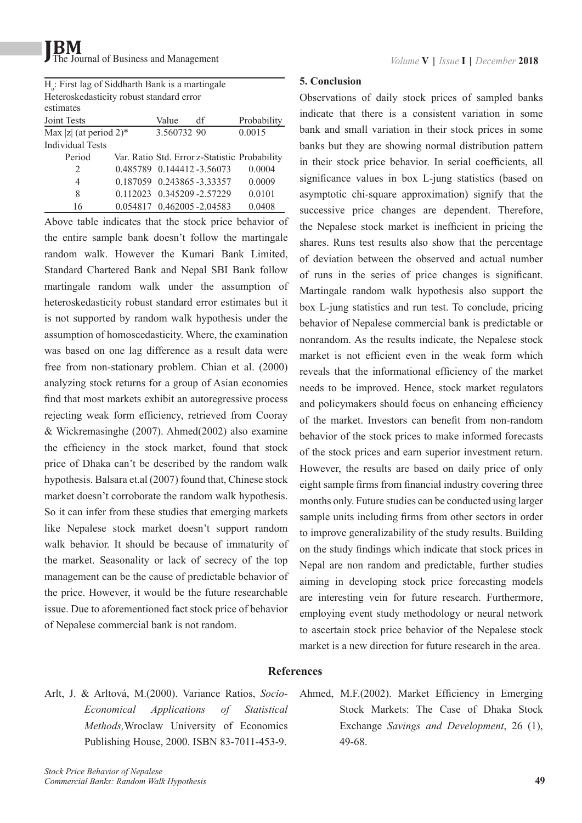H<sub>o</sub>: First lag of Siddharth Bank is a martingale Heteroskedasticity robust standard error estimates Joint Tests Value df Probability  $\frac{1}{\text{Max }|z|}$  (at period 2)\* 3.560732 90 0.0015 Individual Tests Period Var. Ratio Std. Error z-Statistic Probability 2 0.485789 0.144412 -3.56073 0.0004 4 0.187059 0.243865 -3.33357 0.0009 8 0.112023 0.345209 -2.57229 0.0101

16 0.054817 0.462005 -2.04583 0.0408

Above table indicates that the stock price behavior of the entire sample bank doesn't follow the martingale random walk. However the Kumari Bank Limited, Standard Chartered Bank and Nepal SBI Bank follow martingale random walk under the assumption of heteroskedasticity robust standard error estimates but it is not supported by random walk hypothesis under the assumption of homoscedasticity. Where, the examination was based on one lag difference as a result data were free from non-stationary problem. Chian et al. (2000) analyzing stock returns for a group of Asian economies find that most markets exhibit an autoregressive process rejecting weak form efficiency, retrieved from Cooray & Wickremasinghe (2007). Ahmed(2002) also examine the efficiency in the stock market, found that stock price of Dhaka can't be described by the random walk hypothesis. Balsara et.al (2007) found that, Chinese stock market doesn't corroborate the random walk hypothesis. So it can infer from these studies that emerging markets like Nepalese stock market doesn't support random walk behavior. It should be because of immaturity of the market. Seasonality or lack of secrecy of the top management can be the cause of predictable behavior of the price. However, it would be the future researchable issue. Due to aforementioned fact stock price of behavior of Nepalese commercial bank is not random.

#### **5. Conclusion**

Observations of daily stock prices of sampled banks indicate that there is a consistent variation in some bank and small variation in their stock prices in some banks but they are showing normal distribution pattern in their stock price behavior. In serial coefficients, all significance values in box L-jung statistics (based on asymptotic chi-square approximation) signify that the successive price changes are dependent. Therefore, the Nepalese stock market is inefficient in pricing the shares. Runs test results also show that the percentage of deviation between the observed and actual number of runs in the series of price changes is significant. Martingale random walk hypothesis also support the box L-jung statistics and run test. To conclude, pricing behavior of Nepalese commercial bank is predictable or nonrandom. As the results indicate, the Nepalese stock market is not efficient even in the weak form which reveals that the informational efficiency of the market needs to be improved. Hence, stock market regulators and policymakers should focus on enhancing efficiency of the market. Investors can benefit from non-random behavior of the stock prices to make informed forecasts of the stock prices and earn superior investment return. However, the results are based on daily price of only eight sample firms from financial industry covering three months only. Future studies can be conducted using larger sample units including firms from other sectors in order to improve generalizability of the study results. Building on the study findings which indicate that stock prices in Nepal are non random and predictable, further studies aiming in developing stock price forecasting models are interesting vein for future research. Furthermore, employing event study methodology or neural network to ascertain stock price behavior of the Nepalese stock market is a new direction for future research in the area.

#### **References**

- Arlt, J. & Arltová, M.(2000). Variance Ratios, *Socio-Economical Applications of Statistical Methods,*Wroclaw University of Economics Publishing House, 2000. ISBN 83-7011-453-9.
- Ahmed, M.F.(2002). Market Efficiency in Emerging Stock Markets: The Case of Dhaka Stock Exchange *Savings and Development*, 26 (1), 49-68.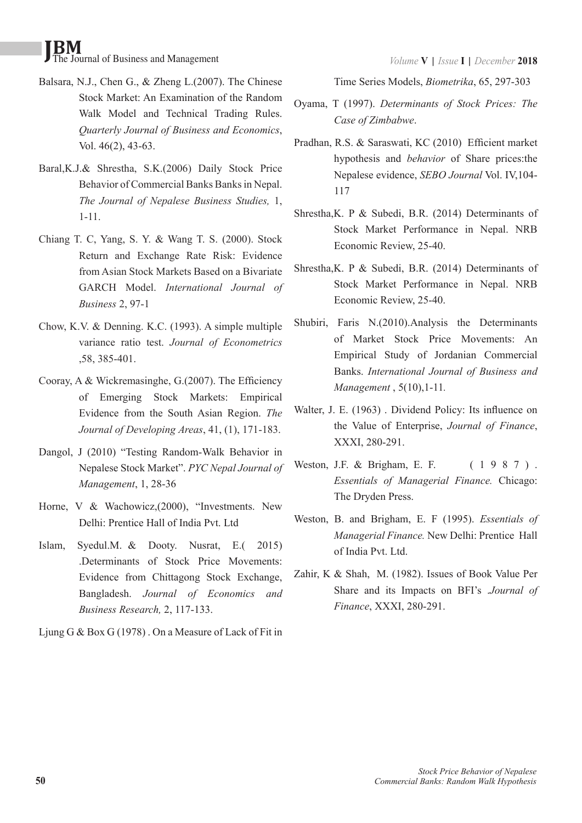- Balsara, N.J., Chen G., & Zheng L.(2007). The Chinese Stock Market: An Examination of the Random Walk Model and Technical Trading Rules. *Quarterly Journal of Business and Economics*, Vol. 46(2), 43-63.
- Baral,K.J.& Shrestha, S.K.(2006) Daily Stock Price Behavior of Commercial Banks Banks in Nepal. *The Journal of Nepalese Business Studies,* 1, 1-11.
- Chiang T. C, Yang, S. Y. & Wang T. S. (2000). Stock Return and Exchange Rate Risk: Evidence from Asian Stock Markets Based on a Bivariate GARCH Model. *International Journal of Business* 2, 97-1
- Chow, K.V. & Denning. K.C. (1993). A simple multiple variance ratio test. *Journal of Econometrics* ,58, 385-401.
- Cooray, A & Wickremasinghe, G.(2007). The Efficiency of Emerging Stock Markets: Empirical Evidence from the South Asian Region. *The Journal of Developing Areas*, 41, (1), 171-183.
- Dangol, J (2010) "Testing Random-Walk Behavior in Nepalese Stock Market". *PYC Nepal Journal of Management*, 1, 28-36
- Horne, V & Wachowicz,(2000), "Investments. New Delhi: Prentice Hall of India Pvt. Ltd
- Islam, Syedul.M. & Dooty. Nusrat, E.( 2015) .Determinants of Stock Price Movements: Evidence from Chittagong Stock Exchange, Bangladesh. *Journal of Economics and Business Research,* 2, 117-133.
- Ljung G & Box G (1978) . On a Measure of Lack of Fit in

Time Series Models, *Biometrika*, 65, 297-303

- Oyama, T (1997). *Determinants of Stock Prices: The Case of Zimbabwe*.
- Pradhan, R.S. & Saraswati, KC (2010) Efficient market hypothesis and *behavior* of Share prices:the Nepalese evidence, *SEBO Journal* Vol. IV,104- 117
- Shrestha,K. P & Subedi, B.R. (2014) Determinants of Stock Market Performance in Nepal. NRB Economic Review, 25-40.
- Shrestha,K. P & Subedi, B.R. (2014) Determinants of Stock Market Performance in Nepal. NRB Economic Review, 25-40.
- Shubiri, Faris N.(2010).Analysis the Determinants of Market Stock Price Movements: An Empirical Study of Jordanian Commercial Banks. *International Journal of Business and Management* , 5(10),1-11*.*
- Walter, J. E. (1963) . Dividend Policy: Its influence on the Value of Enterprise, *Journal of Finance*, XXXI, 280-291.
- Weston, J.F. & Brigham, E. F. (1987). *Essentials of Managerial Finance.* Chicago: The Dryden Press.
- Weston, B. and Brigham, E. F (1995). *Essentials of Managerial Finance.* New Delhi: Prentice Hall of India Pvt. Ltd.
- Zahir, K & Shah, M. (1982). Issues of Book Value Per Share and its Impacts on BFI's .*Journal of Finance*, XXXI, 280-291.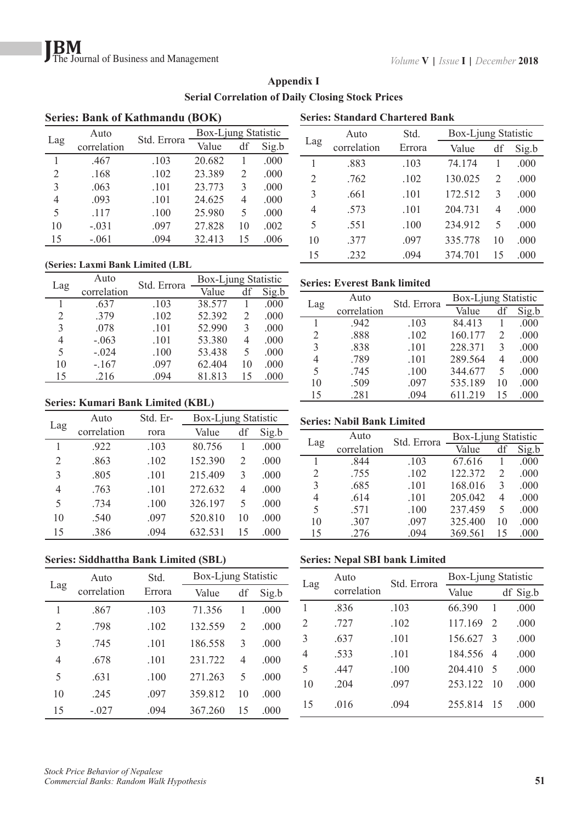|     | <b>Series: Bank of Kathmandu (BOK)</b> |             |                     |    |       |  |  |  |  |
|-----|----------------------------------------|-------------|---------------------|----|-------|--|--|--|--|
|     | Auto                                   |             | Box-Ljung Statistic |    |       |  |  |  |  |
| Lag | correlation                            | Std. Errora | Value               | df | Sig.b |  |  |  |  |
|     | .467                                   | .103        | 20.682              |    | .000  |  |  |  |  |
| 2   | .168                                   | .102        | 23.389              | 2  | .000  |  |  |  |  |
| 3   | .063                                   | .101        | 23.773              | 3  | .000  |  |  |  |  |
| 4   | .093                                   | .101        | 24.625              | 4  | .000  |  |  |  |  |
| 5   | .117                                   | .100        | 25.980              | 5  | .000  |  |  |  |  |
| 10  | $-.031$                                | .097        | 27.828              | 10 | .002  |  |  |  |  |
| 15  | $-.061$                                | .094        | 32.413              | 15 | .006  |  |  |  |  |

## **Appendix I Serial Correlation of Daily Closing Stock Prices**

#### **(Series: Laxmi Bank Limited (LBL)**

| Lag | Auto        | Std. Errora | Box-Ljung Statistic |    |       |  |
|-----|-------------|-------------|---------------------|----|-------|--|
|     | correlation |             | Value               | df | Sig.b |  |
| 1   | .637        | .103        | 38.577              |    | .000  |  |
| 2   | .379        | .102        | 52.392              | 2  | .000  |  |
| 3   | .078        | .101        | 52.990              | 3  | .000  |  |
| 4   | $-.063$     | .101        | 53.380              | 4  | .000  |  |
| 5   | $-.024$     | .100        | 53.438              | 5  | .000  |  |
| 10  | $-.167$     | .097        | 62.404              | 10 | .000  |  |
| 15  | .216        | .094        | 81.813              | 15 | .000  |  |

#### **Series: Kumari Bank Limited (KBL)**

|     | Auto        | Std. Er- | Box-Ljung Statistic |    |       |
|-----|-------------|----------|---------------------|----|-------|
| Lag | correlation | rora     | Value               | df | Sig.b |
|     | .922        | .103     | 80.756              |    | .000  |
| 2   | .863        | .102     | 152.390             | 2  | .000  |
| 3   | .805        | .101     | 215.409             | 3  | .000  |
| 4   | .763        | .101     | 272.632             | 4  | .000  |
| 5   | .734        | .100     | 326.197             | 5  | .000  |
| 10  | .540        | .097     | 520.810             | 10 | .000  |
| 15  | .386        | .094     | 632.531             | 15 | .000  |

#### **Series: Siddhattha Bank Limited (SBL)**

|     | Auto        | Std.   | Box-Ljung Statistic |               |       |  |
|-----|-------------|--------|---------------------|---------------|-------|--|
| Lag | correlation | Errora | Value               | df            | Sig.b |  |
| 1   | .867        | .103   | 71.356              |               | .000  |  |
| 2   | .798        | .102   | 132.559             | $\mathcal{L}$ | .000  |  |
| 3   | 745         | .101   | 186.558             | 3             | .000  |  |
| 4   | 678         | .101   | 231.722             | 4             | .000  |  |
| 5   | .631        | .100   | 271 263             | 5             | .000  |  |
| 10  | 245         | .097   | 359.812             | 10            | .000  |  |
| 15  | $-.027$     | .094   | 367.260             | 15            | .000  |  |

| <b>Series: Standard Chartered Bank</b> |             |        |         |                     |       |  |  |  |
|----------------------------------------|-------------|--------|---------|---------------------|-------|--|--|--|
|                                        | Auto        | Std.   |         | Box-Ljung Statistic |       |  |  |  |
| Lag                                    | correlation | Errora | Value   | df                  | Sig.b |  |  |  |
| 1                                      | .883        | .103   | 74.174  |                     | .000  |  |  |  |
| $\overline{c}$                         | .762        | .102   | 130.025 | 2                   | .000  |  |  |  |
| 3                                      | .661        | .101   | 172.512 | 3                   | .000  |  |  |  |
| 4                                      | .573        | .101   | 204 731 | 4                   | .000  |  |  |  |
| 5                                      | .551        | .100   | 234.912 | 5                   | .000  |  |  |  |
| 10                                     | 377         | .097   | 335.778 | 10                  | .000  |  |  |  |
| 15                                     | .232        | .094   | 374.701 | 15                  | .000  |  |  |  |

#### **Series: Everest Bank limited**

| Lag | Auto        | Std. Errora | Box-Ljung Statistic |    |       |  |
|-----|-------------|-------------|---------------------|----|-------|--|
|     | correlation |             | Value               | df | Sig.b |  |
|     | .942        | .103        | 84.413              |    | .000  |  |
| 2   | .888        | .102        | 160.177             | 2  | .000  |  |
| 3   | .838        | .101        | 228.371             | 3  | .000  |  |
| 4   | .789        | .101        | 289.564             | 4  | .000  |  |
| 5   | .745        | .100        | 344.677             | 5  | .000  |  |
| 10  | .509        | .097        | 535.189             | 10 | .000  |  |
| 15  | .281        | .094        | 611.219             | 15 | .000  |  |

#### **Series: Nabil Bank Limited**

|     | Auto        | Std. Errora | Box-Ljung Statistic |                             |       |  |
|-----|-------------|-------------|---------------------|-----------------------------|-------|--|
| Lag | correlation |             | Value               | df                          | Sig.b |  |
|     | 844         | .103        | 67.616              |                             | .000  |  |
| 2   | .755        | .102        | 122.372             | $\mathcal{D}_{\mathcal{L}}$ | .000  |  |
| 3   | .685        | .101        | 168.016             | 3                           | .000  |  |
| 4   | .614        | .101        | 205.042             | 4                           | .000  |  |
| 5   | .571        | .100        | 237.459             | 5                           | .000  |  |
| 10  | .307        | .097        | 325.400             | 10                          | .000  |  |
| 15  | .276        | .094        | 369.561             | 15                          | .000  |  |

#### **Series: Nepal SBI bank Limited**

| Lag | Auto        | Std. Errora | Box-Ljung Statistic |                             |          |  |
|-----|-------------|-------------|---------------------|-----------------------------|----------|--|
|     | correlation |             | Value               |                             | df Sig.b |  |
|     | .836        | .103        | 66.390              | 1                           | .000     |  |
| 2   | .727        | .102        | 117.169             | $\mathcal{D}_{\mathcal{L}}$ | .000     |  |
| 3   | .637        | .101        | 156.627             | $\mathcal{R}$               | .000     |  |
| 4   | .533        | .101        | 184.556             | $\overline{4}$              | .000     |  |
| 5   | .447        | .100        | 204.410             | 5                           | .000     |  |
| 10  | .204        | .097        | 253.122             | 10                          | .000     |  |
| 15  | .016        | .094        | 255.814             | 15                          | .000     |  |